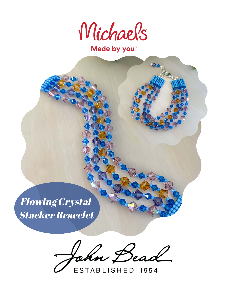

Made by you<sup>\*</sup>

Flowing Crystal Stacker Bracelet

John Bea

ESTABLISHED 1954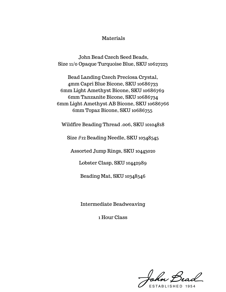## Materials

John Bead Czech Seed Beads, Size 11/0 Opaque Turquoise Blue, SKU 10627223

Bead Landing Czech Preciosa Crystal, 4mm Capri Blue Bicone, SKU 10686733 6mm Light Amethyst Bicone, SKU 10686769 6mm Tanzanite Bicone, SKU 10686734 6mm Light Amethyst AB Bicone, SKU 10686766 6mm Topaz Bicone, SKU 10686755

Wildfire Beading Thread .006, SKU 10104818

Size #12 Beading Needle, SKU 10348545

Assorted Jump Rings, SKU 10443020

Lobster Clasp, SKU 10442989

Beading Mat, SKU 10348546

Intermediate Beadweaving

1 Hour Class

John Bead

STABLISHED 1954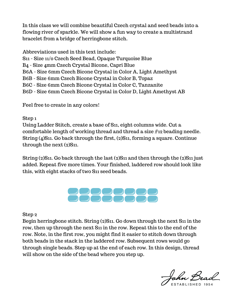In this class we will combine beautiful Czech crystal and seed beads into a flowing river of sparkle. We will show a fun way to create a multistrand bracelet from a bridge of herringbone stitch.

Abbreviations used in this text include: S11 - Size 11/0 Czech Seed Bead, Opaque Turquoise Blue B4 - Size 4mm Czech Crystal Bicone, Capri Blue B6A - Size 6mm Czech Bicone Crystal in Color A, Light Amethyst B6B - Size 6mm Czech Bicone Crystal in Color B, Topaz B6C - Size 6mm Czech Bicone Crystal in Color C, Tanzanite B6D - Size 6mm Czech Bicone Crystal in Color D, Light Amethyst AB

Feel free to create in any colors!

## Step 1

Using Ladder Stitch, create a base of S11, eight columns wide. Cut a comfortable length of working thread and thread a size #12 beading needle. String (4)S11. Go back through the first, (2)S11, forming a square. Continue through the next (2)S<sub>11</sub>.

String (2)S11. Go back through the last (2)S11 and then through the (2)S11 just added. Repeat five more times. Your finished, laddered row should look like this, with eight stacks of two S11 seed beads.



Step 2

Begin herringbone stitch. String (2)S11. Go down through the next S11 in the row, then up through the next S11 in the row. Repeat this to the end of the row. Note, in the first row, you might find it easier to stitch down through both beads in the stack in the laddered row. Subsequent rows would go through single beads. Step up at the end of each row. In this design, thread will show on the side of the bead where you step up.

ohn Bead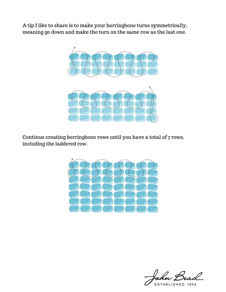A tip I like to share is to make your herringbone turns symmetrically, meaning go down and make the turn on the same row as the last one.



Continue creating herringbone rows until you have a total of 7 rows, including the laddered row.



 $\overline{\mathcal{L}}$ 

ESTABLISHED 1954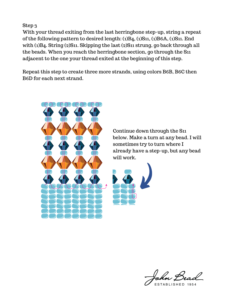Step 3

With your thread exiting from the last herringbone step-up, string a repeat of the following pattern to desired length: (1)B4, (1)S11, (1)B6A, (1)S11. End with (1)B4. String (2)S11. Skipping the last (2)S11 strung, go back through all the beads. When you reach the herringbone section, go through the S11 adjacent to the one your thread exited at the beginning of this step.

Repeat this step to create three more strands, using colors B6B, B6C then B6D for each next strand.



Continue down through the S11 below. Make a turn at any bead. I will sometimes try to turn where I already have a step-up, but any bead will work.



ESTABLISHED 1954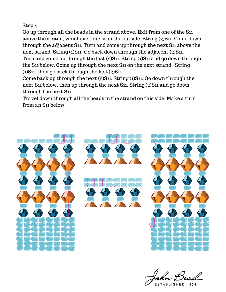## Step 4

Go up through all the beads in the strand above. Exit from one of the S11 above the strand, whichever one is on the outside. String (2)S11. Come down through the adjacent S11. Turn and come up through the next S11 above the next strand. String (1)S11. Go back down through the adjacent (2)S11. Turn and come up through the last (2)S11. String (1)S11 and go down through the S11 below. Come up through the next S11 on the next strand. String (1)S11, then go back through the last (2)S11.

Come back up through the next (2)S11. String (1)S11. Go down through the next S11 below, then up through the next S11. String (2)S11 and go down through the next S11.

Travel down through all the beads in the strand on this side. Make a turn from an S11 below.



ESTABLISHED 1954